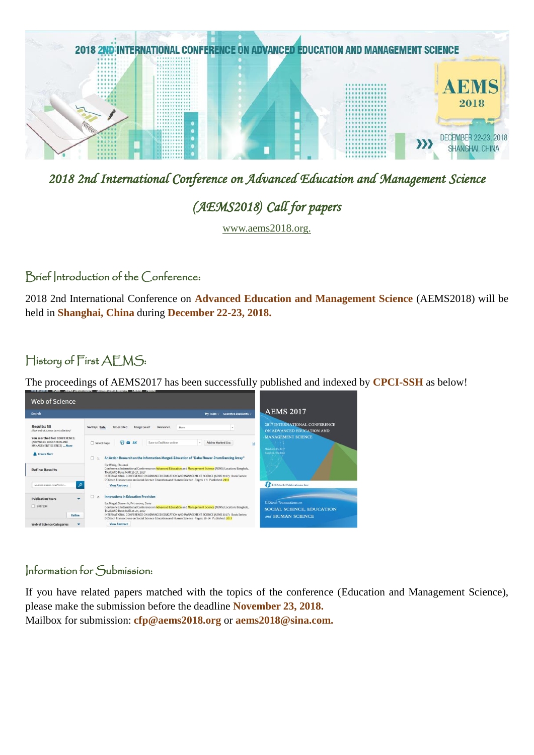

2018 2nd International Conference on Advanced Education and Management Science

# (AEMS2018) Call for papers

www.aems2018.org.

#### Brief Introduction of the Conference:

2018 2nd International Conference on **Advanced Education and Management Science** (AEMS2018) will be held in **Shanghai, China** during **December 22-23, 2018.**

## History of First AEMS:

The proceedings of AEMS2017 has been successfully published and indexed by **CPCI-SSH** as below!



#### Information for Submission:

If you have related papers matched with the topics of the conference (Education and Management Science), please make the submission before the deadline **November 23, 2018.** Mailbox for submission: **cfp@aems2018.org** or **aems2018@sina.com.**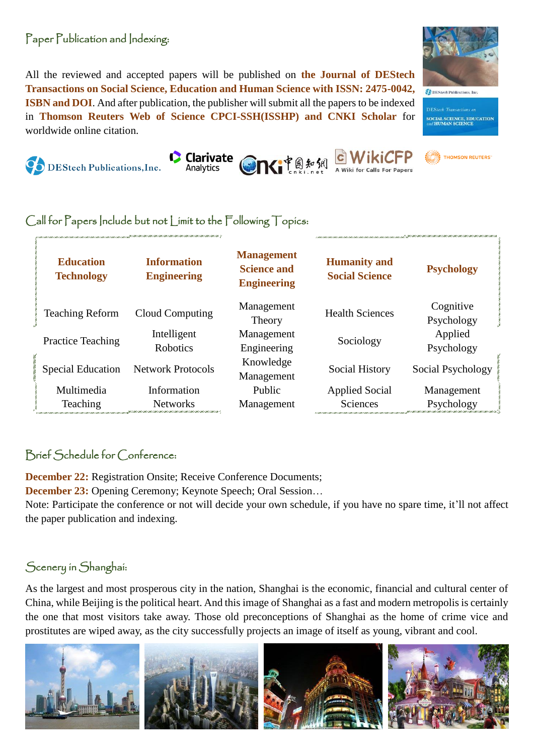#### Paper Publication and Indexing:

All the reviewed and accepted papers will be published on **the Journal of DEStech Transactions on Social Science, Education and Human Science with ISSN: 2475-0042, ISBN and DOI**. And after publication, the publisher will submit all the papers to be indexed in **Thomson Reuters Web of Science CPCI-SSH(ISSHP) and CNKI Scholar** for worldwide online citation.



#### Call for Papers Include but not Limit to the Following Topics:

| <b>Education</b><br><b>Technology</b> | <b>Information</b><br><b>Engineering</b> | <b>Management</b><br><b>Science and</b><br><b>Engineering</b> | <b>Humanity and</b><br><b>Social Science</b> | <b>Psychology</b>       |
|---------------------------------------|------------------------------------------|---------------------------------------------------------------|----------------------------------------------|-------------------------|
| <b>Teaching Reform</b>                | Cloud Computing                          | Management<br>Theory                                          | <b>Health Sciences</b>                       | Cognitive<br>Psychology |
| <b>Practice Teaching</b>              | Intelligent<br><b>Robotics</b>           | Management<br>Engineering                                     | Sociology                                    | Applied<br>Psychology   |
| <b>Special Education</b>              | <b>Network Protocols</b>                 | Knowledge<br>Management                                       | Social History                               | Social Psychology       |
| Multimedia                            | Information                              | Public                                                        | <b>Applied Social</b>                        | Management              |
| Teaching                              | <b>Networks</b>                          | Management                                                    | <b>Sciences</b>                              | Psychology              |

### Brief Schedule for Conference:

**December 22:** Registration Onsite; Receive Conference Documents;

**December 23:** Opening Ceremony; Keynote Speech; Oral Session…

Note: Participate the conference or not will decide your own schedule, if you have no spare time, it'll not affect the paper publication and indexing.

### Scenery in Shanghai:

As the largest and most prosperous city in the nation, Shanghai is the economic, financial and cultural center of China, while Beijing is the political heart. And this image of Shanghai as a fast and modern metropolis is certainly the one that most visitors take away. Those old preconceptions of Shanghai as the home of crime vice and prostitutes are wiped away, as the city successfully projects an image of itself as young, vibrant and cool.





 $\begin{tabular}{|c|c|} \hline \multicolumn{3}{|c|}{\bullet} \multicolumn{3}{|c|}{\bullet} \multicolumn{3}{|c|}{\bullet} \multicolumn{3}{|c|}{\bullet} \multicolumn{3}{|c|}{\bullet} \multicolumn{3}{|c|}{\bullet} \multicolumn{3}{|c|}{\bullet} \multicolumn{3}{|c|}{\bullet} \multicolumn{3}{|c|}{\bullet} \multicolumn{3}{|c|}{\bullet} \multicolumn{3}{|c|}{\bullet} \multicolumn{3}{|c|}{\bullet} \multicolumn{3}{|c|}{\bullet} \multicolumn{3}{|c|}{\bullet} \multicolumn{3}{|c$ 

**DEStech Transactions** of **SOCIAL SCIENCE, EDUCATION**<br>and **HUMAN SCIENCE**